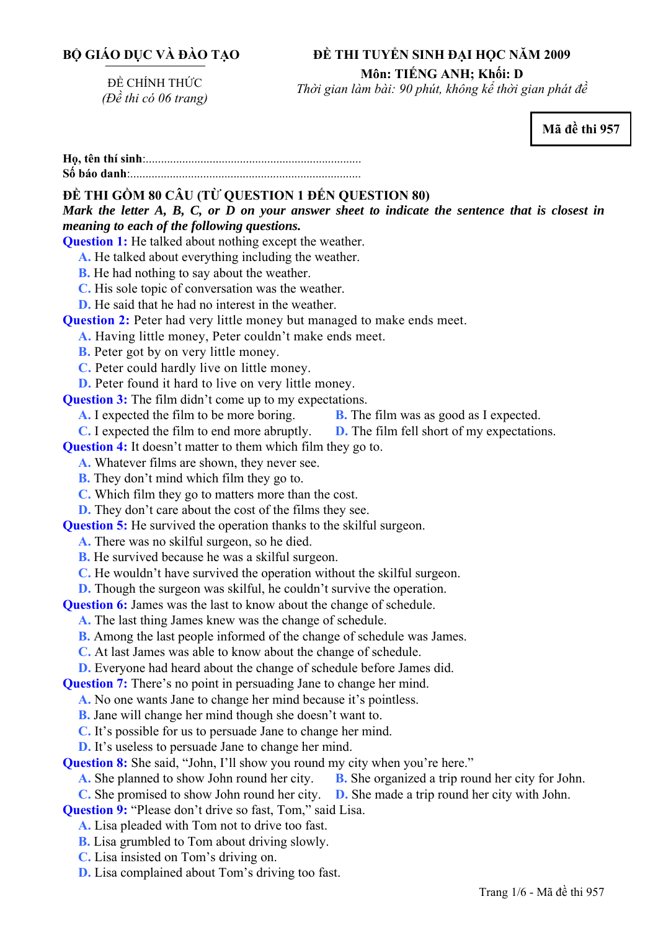## **BỘ GIÁO DỤC VÀ ĐÀO TẠO**

#### **ĐỀ THI TUYỂN SINH ĐẠI HỌC NĂM 2009**

**Môn: TIẾNG ANH; Khối: D** 

ĐỀ CHÍNH THỨC *(Đề thi có 06 trang)* 

*Thời gian làm bài: 90 phút, không kể thời gian phát đề*

**Mã đề thi 957** 

**<sup>H</sup>ọ, tên thí sinh**:.......................................................................... **Số báo danh**:............................................................................

# **ĐỀ THI GỒM 80 CÂU (TỪ QUESTION 1 ĐẾN QUESTION 80)**

*Mark the letter A, B, C, or D on your answer sheet to indicate the sentence that is closest in meaning to each of the following questions.* 

**Question 1:** He talked about nothing except the weather.

**A.** He talked about everything including the weather.

- **B.** He had nothing to say about the weather.
- **C.** His sole topic of conversation was the weather.

**D.** He said that he had no interest in the weather.

**Question 2:** Peter had very little money but managed to make ends meet.

**A.** Having little money, Peter couldn't make ends meet.

**B.** Peter got by on very little money.

**C.** Peter could hardly live on little money.

**D.** Peter found it hard to live on very little money.

**Question 3:** The film didn't come up to my expectations.

**A.** I expected the film to be more boring. **B.** The film was as good as I expected.

**C.** I expected the film to end more abruptly. **D.** The film fell short of my expectations.

**Question 4:** It doesn't matter to them which film they go to.

**A.** Whatever films are shown, they never see.

**B.** They don't mind which film they go to.

**C.** Which film they go to matters more than the cost.

**D.** They don't care about the cost of the films they see.

**Question 5:** He survived the operation thanks to the skilful surgeon.

**A.** There was no skilful surgeon, so he died.

**B.** He survived because he was a skilful surgeon.

**C.** He wouldn't have survived the operation without the skilful surgeon.

**D.** Though the surgeon was skilful, he couldn't survive the operation.

**Question 6:** James was the last to know about the change of schedule.

**A.** The last thing James knew was the change of schedule.

**B.** Among the last people informed of the change of schedule was James.

**C.** At last James was able to know about the change of schedule.

**D.** Everyone had heard about the change of schedule before James did.

**Question 7:** There's no point in persuading Jane to change her mind.

**A.** No one wants Jane to change her mind because it's pointless.

**B.** Jane will change her mind though she doesn't want to.

**C.** It's possible for us to persuade Jane to change her mind.

**D.** It's useless to persuade Jane to change her mind.

**Question 8:** She said, "John, I'll show you round my city when you're here."

**A.** She planned to show John round her city. **B.** She organized a trip round her city for John.

**C.** She promised to show John round her city. **D.** She made a trip round her city with John.

**Question 9:** "Please don't drive so fast, Tom," said Lisa.

**A.** Lisa pleaded with Tom not to drive too fast.

**B.** Lisa grumbled to Tom about driving slowly.

**C.** Lisa insisted on Tom's driving on.

**D.** Lisa complained about Tom's driving too fast.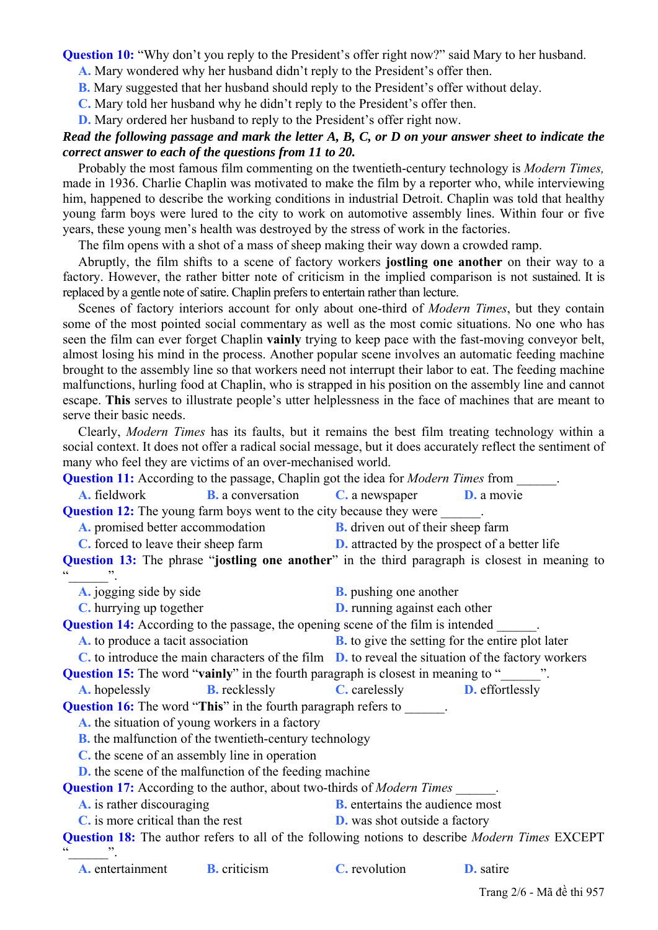**Question 10:** "Why don't you reply to the President's offer right now?" said Mary to her husband.

**A.** Mary wondered why her husband didn't reply to the President's offer then.

**B.** Mary suggested that her husband should reply to the President's offer without delay.

**C.** Mary told her husband why he didn't reply to the President's offer then.

**D.** Mary ordered her husband to reply to the President's offer right now.

### *Read the following passage and mark the letter A, B, C, or D on your answer sheet to indicate the correct answer to each of the questions from 11 to 20.*

Probably the most famous film commenting on the twentieth-century technology is *Modern Times,* made in 1936. Charlie Chaplin was motivated to make the film by a reporter who, while interviewing him, happened to describe the working conditions in industrial Detroit. Chaplin was told that healthy young farm boys were lured to the city to work on automotive assembly lines. Within four or five years, these young men's health was destroyed by the stress of work in the factories.

The film opens with a shot of a mass of sheep making their way down a crowded ramp.

Abruptly, the film shifts to a scene of factory workers **jostling one another** on their way to a factory. However, the rather bitter note of criticism in the implied comparison is not sustained. It is replaced by a gentle note of satire. Chaplin prefers to entertain rather than lecture.

Scenes of factory interiors account for only about one-third of *Modern Times*, but they contain some of the most pointed social commentary as well as the most comic situations. No one who has seen the film can ever forget Chaplin **vainly** trying to keep pace with the fast-moving conveyor belt, almost losing his mind in the process. Another popular scene involves an automatic feeding machine brought to the assembly line so that workers need not interrupt their labor to eat. The feeding machine malfunctions, hurling food at Chaplin, who is strapped in his position on the assembly line and cannot escape. **This** serves to illustrate people's utter helplessness in the face of machines that are meant to serve their basic needs.

Clearly, *Modern Times* has its faults, but it remains the best film treating technology within a social context. It does not offer a radical social message, but it does accurately reflect the sentiment of many who feel they are victims of an over-mechanised world.

| <b>Question 11:</b> According to the passage, Chaplin got the idea for <i>Modern Times</i> from ______. |                                                                                       |                                                                                   |                  |  |
|---------------------------------------------------------------------------------------------------------|---------------------------------------------------------------------------------------|-----------------------------------------------------------------------------------|------------------|--|
| <b>A.</b> fieldwork                                                                                     |                                                                                       | <b>B.</b> a conversation <b>C.</b> a newspaper <b>D.</b> a movie                  |                  |  |
| <b>Question 12:</b> The young farm boys went to the city because they were                              |                                                                                       |                                                                                   |                  |  |
| <b>A.</b> promised better accommodation <b>B.</b> driven out of their sheep farm                        |                                                                                       |                                                                                   |                  |  |
|                                                                                                         |                                                                                       | C. forced to leave their sheep farm D. attracted by the prospect of a better life |                  |  |
| <b>Question 13:</b> The phrase "jostling one another" in the third paragraph is closest in meaning to   |                                                                                       |                                                                                   |                  |  |
|                                                                                                         |                                                                                       |                                                                                   |                  |  |
| A. jogging side by side                                                                                 |                                                                                       | <b>B.</b> pushing one another                                                     |                  |  |
| C. hurrying up together                                                                                 |                                                                                       | <b>D.</b> running against each other                                              |                  |  |
| <b>Question 14:</b> According to the passage, the opening scene of the film is intended ______.         |                                                                                       |                                                                                   |                  |  |
| A. to produce a tacit association <b>B.</b> to give the setting for the entire plot later               |                                                                                       |                                                                                   |                  |  |
| $C$ , to introduce the main characters of the film $D$ , to reveal the situation of the factory workers |                                                                                       |                                                                                   |                  |  |
| <b>Question 15:</b> The word " <b>vainly</b> " in the fourth paragraph is closest in meaning to "       |                                                                                       |                                                                                   |                  |  |
|                                                                                                         | <b>A.</b> hopelessly <b>B.</b> recklessly <b>C.</b> carelessly <b>D.</b> effortlessly |                                                                                   |                  |  |
| <b>Question 16:</b> The word "This" in the fourth paragraph refers to ______.                           |                                                                                       |                                                                                   |                  |  |
| A. the situation of young workers in a factory                                                          |                                                                                       |                                                                                   |                  |  |
| <b>B.</b> the malfunction of the twentieth-century technology                                           |                                                                                       |                                                                                   |                  |  |
| C, the scene of an assembly line in operation                                                           |                                                                                       |                                                                                   |                  |  |
| <b>D.</b> the scene of the malfunction of the feeding machine                                           |                                                                                       |                                                                                   |                  |  |
| <b>Question 17:</b> According to the author, about two-thirds of <i>Modern Times</i> ______.            |                                                                                       |                                                                                   |                  |  |
| A. is rather discouraging                                                                               |                                                                                       | <b>B.</b> entertains the audience most                                            |                  |  |
| C, is more critical than the rest                                                                       |                                                                                       | <b>D.</b> was shot outside a factory                                              |                  |  |
| <b>Question 18:</b> The author refers to all of the following notions to describe Modern Times EXCEPT   |                                                                                       |                                                                                   |                  |  |
| <b>A.</b> entertainment <b>B.</b> criticism                                                             |                                                                                       | <b>C.</b> revolution                                                              | <b>D.</b> satire |  |

Trang 2/6 - Mã đề thi 957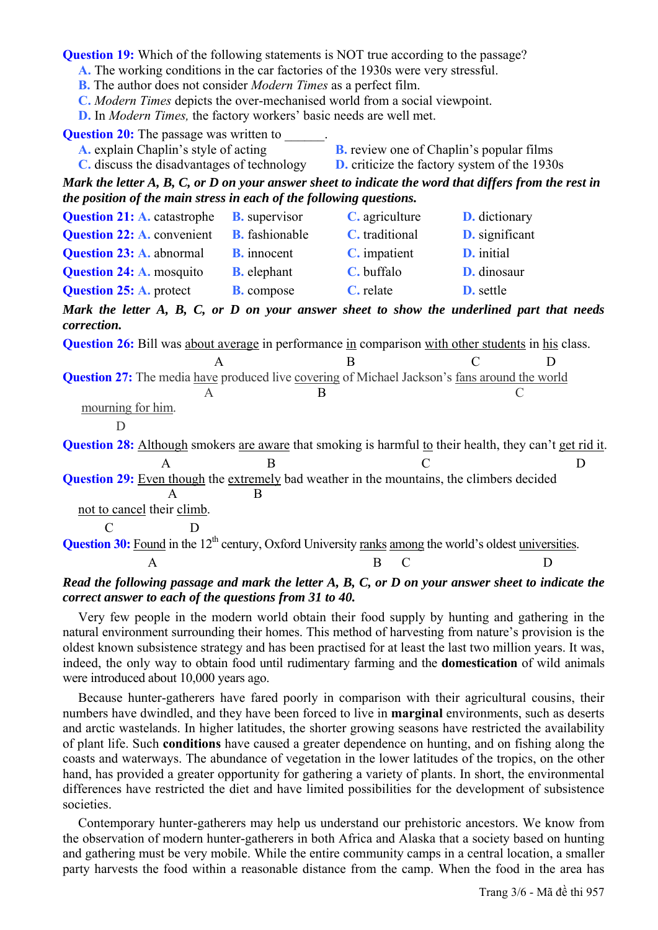**Question 19:** Which of the following statements is NOT true according to the passage?

**A.** The working conditions in the car factories of the 1930s were very stressful.

**B.** The author does not consider *Modern Times* as a perfect film.

**C.** *Modern Times* depicts the over-mechanised world from a social viewpoint.

**D.** In *Modern Times,* the factory workers' basic needs are well met.

**Question 20:** The passage was written to

**A.** explain Chaplin's style of acting **B.** review one of Chaplin's popular films

**C.** discuss the disadvantages of technology **D.** criticize the factory system of the 1930s

*Mark the letter A, B, C, or D on your answer sheet to indicate the word that differs from the rest in the position of the main stress in each of the following questions.* 

| <b>Question 21: A.</b> catastrophe                                                                                        | <b>B.</b> supervisor  | C. agriculture        | <b>D.</b> dictionary  |
|---------------------------------------------------------------------------------------------------------------------------|-----------------------|-----------------------|-----------------------|
| <b>Question 22: A. convenient</b>                                                                                         | <b>B.</b> fashionable | <b>C.</b> traditional | <b>D.</b> significant |
| <b>Question 23: A. abnormal</b>                                                                                           | <b>B.</b> innocent    | C. impatient          | <b>D.</b> initial     |
| <b>Question 24: A. mosquito</b>                                                                                           | <b>B.</b> elephant    | C. buffalo            | D. dinosaur           |
| <b>Question 25: A. protect</b>                                                                                            | <b>B.</b> compose     | C. relate             | <b>D.</b> settle      |
| Mark the letter A, B, C, or D on your answer sheet to show the underlined part that needs<br>correction.                  |                       |                       |                       |
| <b>Question 26:</b> Bill was about average in performance in comparison with other students in his class.                 |                       |                       |                       |
| A                                                                                                                         |                       | B                     |                       |
| <b>Question 27:</b> The media have produced live covering of Michael Jackson's fans around the world                      |                       |                       |                       |
| A                                                                                                                         | B                     |                       |                       |
| mourning for him.                                                                                                         |                       |                       |                       |
|                                                                                                                           |                       |                       |                       |
| <b>Question 28:</b> Although smokers are aware that smoking is harmful to their health, they can't get rid it.            |                       |                       |                       |
| A                                                                                                                         | B                     |                       | D                     |
| <b>Question 29:</b> Even though the extremely bad weather in the mountains, the climbers decided<br>A                     | B                     |                       |                       |
| not to cancel their climb.                                                                                                |                       |                       |                       |
| $\mathcal{C}$<br>D                                                                                                        |                       |                       |                       |
| <b>Question 30:</b> Found in the 12 <sup>th</sup> century, Oxford University ranks among the world's oldest universities. |                       |                       |                       |
| A                                                                                                                         |                       | B<br>C                | D                     |
|                                                                                                                           |                       |                       |                       |

#### *Read the following passage and mark the letter A, B, C, or D on your answer sheet to indicate the correct answer to each of the questions from 31 to 40.*

Very few people in the modern world obtain their food supply by hunting and gathering in the natural environment surrounding their homes. This method of harvesting from nature's provision is the oldest known subsistence strategy and has been practised for at least the last two million years. It was, indeed, the only way to obtain food until rudimentary farming and the **domestication** of wild animals were introduced about 10,000 years ago.

Because hunter-gatherers have fared poorly in comparison with their agricultural cousins, their numbers have dwindled, and they have been forced to live in **marginal** environments, such as deserts and arctic wastelands. In higher latitudes, the shorter growing seasons have restricted the availability of plant life. Such **conditions** have caused a greater dependence on hunting, and on fishing along the coasts and waterways. The abundance of vegetation in the lower latitudes of the tropics, on the other hand, has provided a greater opportunity for gathering a variety of plants. In short, the environmental differences have restricted the diet and have limited possibilities for the development of subsistence societies.

Contemporary hunter-gatherers may help us understand our prehistoric ancestors. We know from the observation of modern hunter-gatherers in both Africa and Alaska that a society based on hunting and gathering must be very mobile. While the entire community camps in a central location, a smaller party harvests the food within a reasonable distance from the camp. When the food in the area has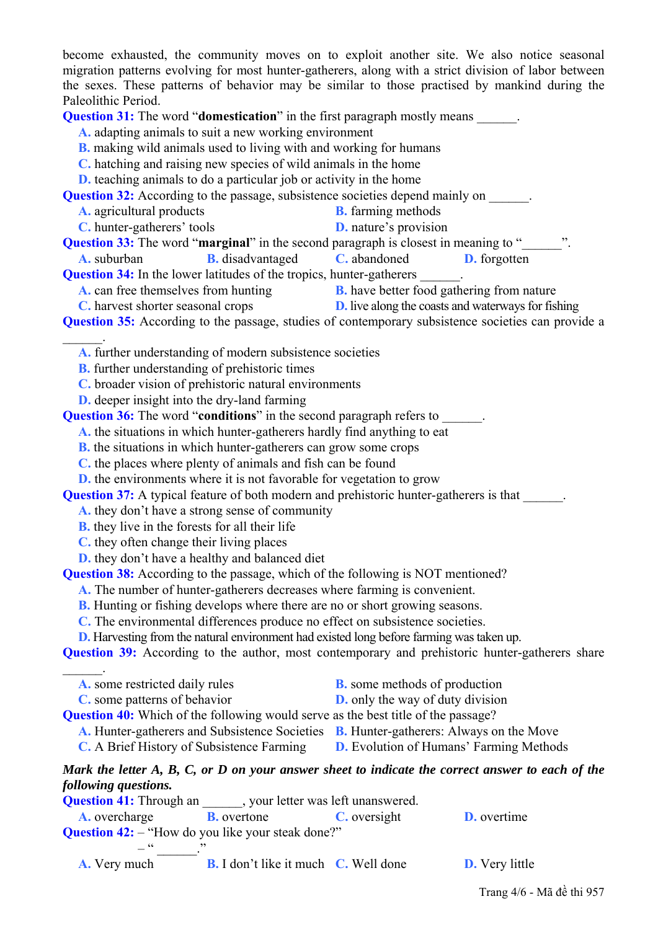become exhausted, the community moves on to exploit another site. We also notice seasonal migration patterns evolving for most hunter-gatherers, along with a strict division of labor between the sexes. These patterns of behavior may be similar to those practised by mankind during the Paleolithic Period.

**Question 31:** The word "**domestication**" in the first paragraph mostly means

**A.** adapting animals to suit a new working environment

- **B.** making wild animals used to living with and working for humans
- **C.** hatching and raising new species of wild animals in the home
- **D.** teaching animals to do a particular job or activity in the home

**Question 32:** According to the passage, subsistence societies depend mainly on \_\_\_\_\_\_.

- **A.** agricultural products **B.** farming methods
- **C.** hunter-gatherers' tools **D.** nature's provision

**Question 33:** The word "**marginal**" in the second paragraph is closest in meaning to "

**A.** suburban **B.** disadvantaged **C.** abandoned **D.** forgotten

**Question 34:** In the lower latitudes of the tropics, hunter-gatherers

- **A.** can free themselves from hunting **B.** have better food gathering from nature
- **C.** harvest shorter seasonal crops **D.** live along the coasts and waterways for fishing

**Question 35:** According to the passage, studies of contemporary subsistence societies can provide a

**A.** further understanding of modern subsistence societies

**B.** further understanding of prehistoric times

 $\mathcal{L}=\mathcal{L}$ 

 $\mathcal{L}=\mathcal{L}$ 

**C.** broader vision of prehistoric natural environments

**D.** deeper insight into the dry-land farming

**Question 36:** The word "**conditions**" in the second paragraph refers to \_\_\_\_\_\_.

**A.** the situations in which hunter-gatherers hardly find anything to eat

**B.** the situations in which hunter-gatherers can grow some crops

**C.** the places where plenty of animals and fish can be found

**D.** the environments where it is not favorable for vegetation to grow

**Question 37:** A typical feature of both modern and prehistoric hunter-gatherers is that

**A.** they don't have a strong sense of community

**B.** they live in the forests for all their life

**C.** they often change their living places

**D.** they don't have a healthy and balanced diet

**Question 38:** According to the passage, which of the following is NOT mentioned?

**A.** The number of hunter-gatherers decreases where farming is convenient.

**B.** Hunting or fishing develops where there are no or short growing seasons.

**C.** The environmental differences produce no effect on subsistence societies.

**D.** Harvesting from the natural environment had existed long before farming was taken up.

**Question 39:** According to the author, most contemporary and prehistoric hunter-gatherers share

| <b>A.</b> some restricted daily rules | <b>B.</b> some methods of production |
|---------------------------------------|--------------------------------------|
|---------------------------------------|--------------------------------------|

**C.** some patterns of behavior **D.** only the way of duty division

**Question 40:** Which of the following would serve as the best title of the passage?

**A.** Hunter-gatherers and Subsistence Societies **B.** Hunter-gatherers: Always on the Move

**C.** A Brief History of Subsistence Farming **D.** Evolution of Humans' Farming Methods

### *Mark the letter A, B, C, or D on your answer sheet to indicate the correct answer to each of the following questions.*

| <b>Question 41:</b> Through an , your letter was left unanswered. |                    |                                                     |                       |  |
|-------------------------------------------------------------------|--------------------|-----------------------------------------------------|-----------------------|--|
| <b>A.</b> overcharge                                              | <b>B.</b> overtone | C. oversight                                        | <b>D.</b> overtime    |  |
| <b>Question 42:</b> - "How do you like your steak done?"          |                    |                                                     |                       |  |
|                                                                   |                    |                                                     |                       |  |
| <b>A.</b> Very much                                               |                    | <b>B.</b> I don't like it much <b>C</b> . Well done | <b>D.</b> Very little |  |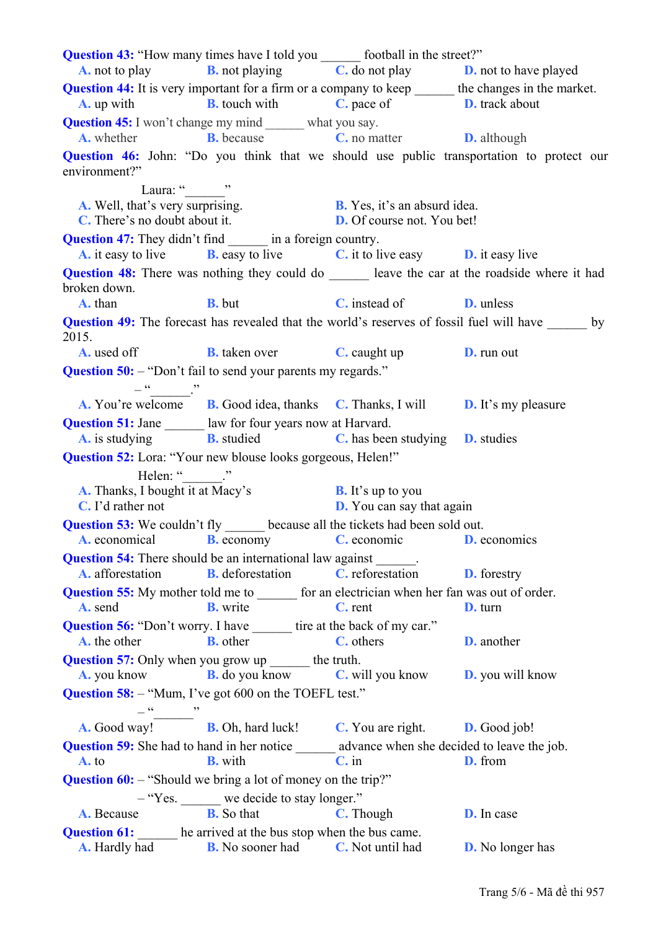**Question 43:** "How many times have I told you \_\_\_\_\_\_\_ football in the street?" **A.** not to play **B.** not playing **C.** do not play **D.** not to have played **Question 44:** It is very important for a firm or a company to keep the changes in the market. **A.** up with **B.** touch with **C.** pace of **D.** track about **Question 45:** I won't change my mind what you say. **A.** whether **B.** because **C.** no matter **D.** although **Question 46:** John: "Do you think that we should use public transportation to protect our environment?" Laura: " $\cdots$ " **A.** Well, that's very surprising. **B.** Yes, it's an absurd idea. **C.** There's no doubt about it. **D.** Of course not. You bet! **Question 47:** They didn't find in a foreign country. **A.** it easy to live **B.** easy to live **C.** it to live easy **D.** it easy live **Question 48:** There was nothing they could do leave the car at the roadside where it had broken down. **A.** than **B.** but **C.** instead of **D.** unless **Question 49:** The forecast has revealed that the world's reserves of fossil fuel will have by 2015. **A.** used off **B.** taken over **C.** caught up **D.** run out **Question 50:** – "Don't fail to send your parents my regards."  $-$ **A.** You're welcome **B.** Good idea, thanks **C.** Thanks, I will **D.** It's my pleasure **Question 51:** Jane law for four years now at Harvard. **A.** is studying **B.** studied **C.** has been studying **D.** studies **Question 52:** Lora: "Your new blouse looks gorgeous, Helen!" Helen: " **A.** Thanks, I bought it at Macy's **B.** It's up to you **C.** I'd rather not **D.** You can say that again **Question 53:** We couldn't fly because all the tickets had been sold out. **A.** economical **B.** economy **C.** economic **D.** economics **Question 54:** There should be an international law against **A.** afforestation **B.** deforestation **C.** reforestation **D.** forestry **Question 55:** My mother told me to  $\qquad$  for an electrician when her fan was out of order. **A.** send **B.** write **C.** rent **D.** turn **Question 56:** "Don't worry. I have tire at the back of my car." **A.** the other **B.** other **C.** others **D.** another **Question 57:** Only when you grow up \_\_\_\_\_\_\_ the truth. **A.** you know **B.** do you know **C.** will you know **D.** you will know **Question 58:** – "Mum, I've got 600 on the TOEFL test."  $\sim$   $\sim$   $\sim$ **A.** Good way! **B.** Oh, hard luck! **C.** You are right. **D.** Good job! **Question 59:** She had to hand in her notice advance when she decided to leave the job. **A.** to **B.** with **C.** in **D.** from **Question 60:** – "Should we bring a lot of money on the trip?" – "Yes. \_\_\_\_\_ we decide to stay longer." **A.** Because **B.** So that **C.** Though **D.** In case **Question 61:** he arrived at the bus stop when the bus came. **A.** Hardly had **B.** No sooner had **C.** Not until had **D.** No longer has